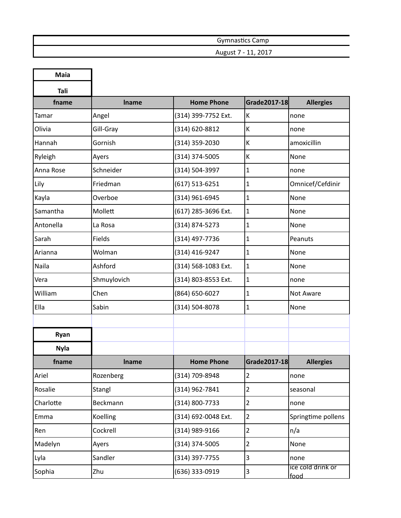| Gymnastics Camp          |
|--------------------------|
| , 2017<br>August 7 - 11, |

| <b>Maia</b> |              |                     |                |                           |
|-------------|--------------|---------------------|----------------|---------------------------|
| Tali        |              |                     |                |                           |
| fname       | Iname        | <b>Home Phone</b>   | Grade2017-18   | <b>Allergies</b>          |
| Tamar       | Angel        | (314) 399-7752 Ext. | К              | none                      |
| Olivia      | Gill-Gray    | (314) 620-8812      | К              | none                      |
| Hannah      | Gornish      | (314) 359-2030      | К              | amoxicillin               |
| Ryleigh     | Ayers        | (314) 374-5005      | К              | None                      |
| Anna Rose   | Schneider    | (314) 504-3997      | $\mathbf{1}$   | none                      |
| Lily        | Friedman     | (617) 513-6251      | $\mathbf{1}$   | Omnicef/Cefdinir          |
| Kayla       | Overboe      | (314) 961-6945      | $\mathbf{1}$   | None                      |
| Samantha    | Mollett      | (617) 285-3696 Ext. | $\mathbf{1}$   | None                      |
| Antonella   | La Rosa      | (314) 874-5273      | $\mathbf{1}$   | None                      |
| Sarah       | Fields       | (314) 497-7736      | $\mathbf{1}$   | Peanuts                   |
| Arianna     | Wolman       | (314) 416-9247      | $\mathbf{1}$   | None                      |
| Naila       | Ashford      | (314) 568-1083 Ext. | $\mathbf{1}$   | None                      |
| Vera        | Shmuylovich  | (314) 803-8553 Ext. | $\mathbf{1}$   | none                      |
| William     | Chen         | (864) 650-6027      | $\mathbf{1}$   | Not Aware                 |
| Ella        | Sabin        | (314) 504-8078      | $\mathbf{1}$   | None                      |
|             |              |                     |                |                           |
| Ryan        |              |                     |                |                           |
| <b>Nyla</b> |              |                     |                |                           |
| fname       | <b>Iname</b> | <b>Home Phone</b>   | Grade2017-18   | <b>Allergies</b>          |
| Ariel       | Rozenberg    | (314) 709-8948      | $\overline{2}$ | none                      |
| Rosalie     | Stangl       | (314) 962-7841      | $\overline{2}$ | seasonal                  |
| Charlotte   | Beckmann     | (314) 800-7733      | $\overline{2}$ | none                      |
| Emma        | Koelling     | (314) 692-0048 Ext. | $\overline{2}$ | Springtime pollens        |
| Ren         | Cockrell     | (314) 989-9166      | $\overline{2}$ | n/a                       |
| Madelyn     | Ayers        | (314) 374-5005      | $\overline{2}$ | None                      |
| Lyla        | Sandler      | (314) 397-7755      | 3              | none                      |
| Sophia      | Zhu          | (636) 333-0919      | 3              | ice cold drink or<br>food |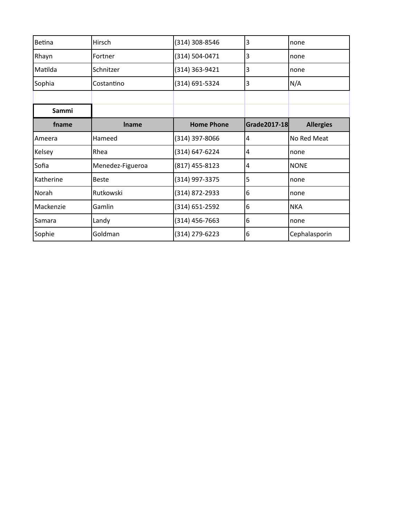| Betina    | Hirsch           | (314) 308-8546    | 3            | none             |
|-----------|------------------|-------------------|--------------|------------------|
| Rhayn     | Fortner          | (314) 504-0471    | 3            | none             |
| Matilda   | Schnitzer        | (314) 363-9421    | 3            | none             |
| Sophia    | Costantino       | (314) 691-5324    | 3            | N/A              |
|           |                  |                   |              |                  |
| Sammi     |                  |                   |              |                  |
| fname     | <b>Iname</b>     | <b>Home Phone</b> | Grade2017-18 | <b>Allergies</b> |
| Ameera    | Hameed           | (314) 397-8066    | 4            | No Red Meat      |
| Kelsey    | Rhea             | (314) 647-6224    | 4            | none             |
| Sofia     | Menedez-Figueroa | $(817)$ 455-8123  | 4            | <b>NONE</b>      |
| Katherine | <b>Beste</b>     | (314) 997-3375    | 5            | none             |
| Norah     | Rutkowski        | (314) 872-2933    | 6            | none             |
| Mackenzie | Gamlin           | (314) 651-2592    | 6            | <b>NKA</b>       |
| Samara    | Landy            | $(314)$ 456-7663  | 6            | none             |
| Sophie    | Goldman          | (314) 279-6223    | 6            | Cephalasporin    |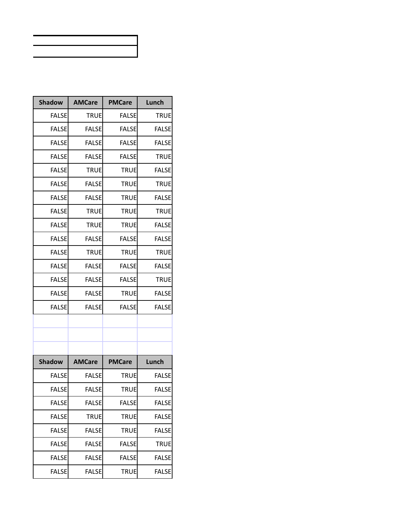| <b>Shadow</b> | <b>AMCare</b> | <b>PMCare</b> | Lunch        |
|---------------|---------------|---------------|--------------|
| <b>FALSE</b>  | <b>TRUE</b>   | <b>FALSE</b>  | <b>TRUE</b>  |
| <b>FALSE</b>  | <b>FALSE</b>  | <b>FALSE</b>  | <b>FALSE</b> |
| <b>FALSE</b>  | <b>FALSE</b>  | <b>FALSE</b>  | <b>FALSE</b> |
| <b>FALSE</b>  | <b>FALSE</b>  | <b>FALSE</b>  | <b>TRUE</b>  |
| <b>FALSE</b>  | <b>TRUE</b>   | <b>TRUE</b>   | <b>FALSE</b> |
| <b>FALSE</b>  | <b>FALSE</b>  | <b>TRUE</b>   | <b>TRUE</b>  |
| <b>FALSE</b>  | <b>FALSE</b>  | <b>TRUE</b>   | <b>FALSE</b> |
| <b>FALSE</b>  | <b>TRUE</b>   | <b>TRUE</b>   | <b>TRUE</b>  |
| <b>FALSE</b>  | <b>TRUE</b>   | <b>TRUE</b>   | <b>FALSE</b> |
| <b>FALSE</b>  | <b>FALSE</b>  | <b>FALSE</b>  | <b>FALSE</b> |
| <b>FALSE</b>  | <b>TRUE</b>   | <b>TRUE</b>   | <b>TRUE</b>  |
| <b>FALSE</b>  | <b>FALSE</b>  | <b>FALSE</b>  | <b>FALSE</b> |
| <b>FALSF</b>  | <b>FALSE</b>  | <b>FALSE</b>  | <b>TRUE</b>  |
| <b>FALSE</b>  | <b>FALSE</b>  | <b>TRUE</b>   | <b>FALSE</b> |
| <b>FALSE</b>  | <b>FALSE</b>  | <b>FALSE</b>  | <b>FALSE</b> |
|               |               |               |              |
|               |               |               |              |
|               |               |               |              |
| <b>Shadow</b> | <b>AMCare</b> | <b>PMCare</b> | Lunch        |
| <b>FALSE</b>  | <b>FALSE</b>  | <b>TRUE</b>   | <b>FALSE</b> |
| <b>FALSE</b>  | <b>FALSE</b>  | <b>TRUE</b>   | <b>FALSE</b> |
| <b>FALSE</b>  | <b>FALSE</b>  | <b>FALSE</b>  | <b>FALSE</b> |
| <b>FALSE</b>  | <b>TRUE</b>   | <b>TRUE</b>   | <b>FALSE</b> |
| <b>FALSE</b>  | <b>FALSE</b>  | <b>TRUE</b>   | <b>FALSE</b> |
| <b>FALSE</b>  | <b>FALSE</b>  | <b>FALSE</b>  | <b>TRUE</b>  |
| <b>FALSE</b>  | <b>FALSE</b>  | <b>FALSE</b>  | <b>FALSE</b> |
| <b>FALSE</b>  | <b>FALSE</b>  | <b>TRUE</b>   | <b>FALSE</b> |